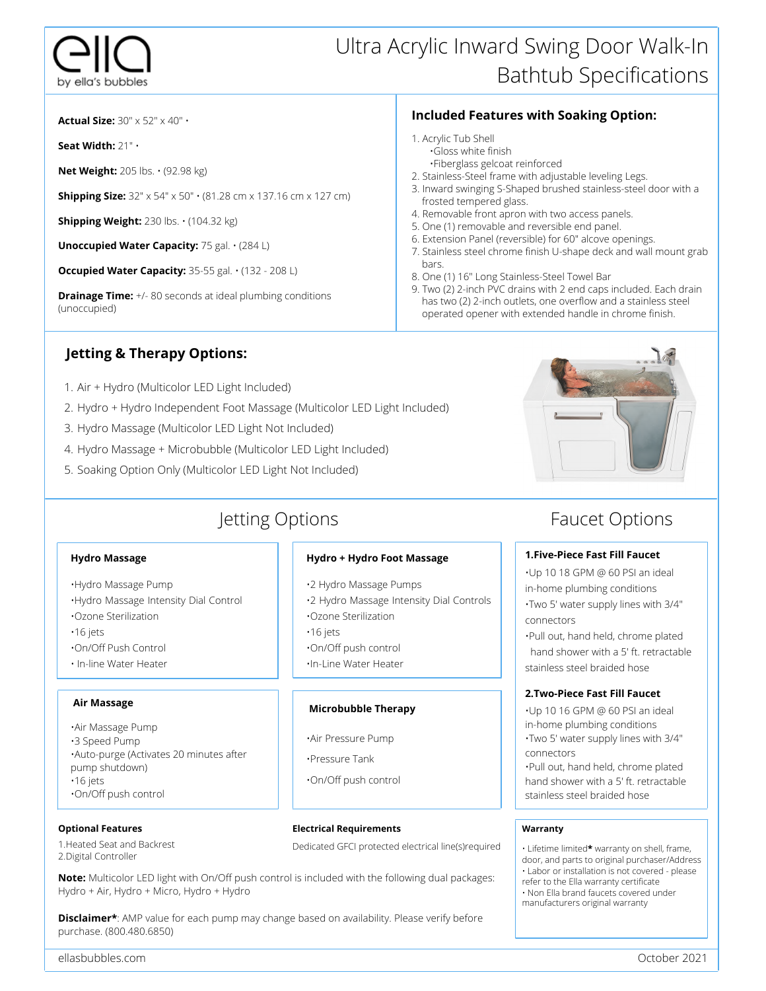### Ultra Acrylic Inward Swing Door Walk-In Bathtub Specifications

**Actual Size:** 30" x 52" x 40" •

**Seat Width:** 21" •

**Net Weight:** 205 lbs. • (92.98 kg)

**Shipping Size:** 32" x 54" x 50" • (81.28 cm x 137.16 cm x 127 cm)

**Shipping Weight:** 230 lbs. • (104.32 kg)

**Unoccupied Water Capacity:** 75 gal. • (284 L)

**Occupied Water Capacity:** 35-55 gal. • (132 - 208 L)

**Drainage Time:** +/- 80 seconds at ideal plumbing conditions (unoccupied)

### **Jetting & Therapy Options:**

- Air + Hydro (Multicolor LED Light Included) 1.
- 2. Hydro + Hydro Independent Foot Massage (Multicolor LED Light Included)
- 3. Hydro Massage (Multicolor LED Light Not Included)
- 4. Hydro Massage + Microbubble (Multicolor LED Light Included)
- 5. Soaking Option Only (Multicolor LED Light Not Included)

### Jetting Options

#### **Hydro Massage**

•Hydro Massage Pump •Hydro Massage Intensity Dial Control

- •Ozone Sterilization
- •16 jets
- •On/Off Push Control
- In-line Water Heater

### **Air Massage**

•Air Massage Pump •3 Speed Pump •Auto-purge (Activates 20 minutes after pump shutdown) •16 jets •On/Off push control

### **Optional Features**

1.Heated Seat and Backrest 2.Digital Controller

#### **Hydro + Hydro Foot Massage**

- •2 Hydro Massage Pumps
- •2 Hydro Massage Intensity Dial Controls •Ozone Sterilization
- •16 jets
- •On/Off push control
- •In-Line Water Heater

### **Microbubble Therapy**

- •Air Pressure Pump
- •Pressure Tank
- •On/Off push control

#### **Electrical Requirements**

Dedicated GFCI protected electrical line(s)required

**Note:** Multicolor LED light with On/Off push control is included with the following dual packages: Hydro + Air, Hydro + Micro, Hydro + Hydro

**Disclaimer\*:** AMP value for each pump may change based on availability. Please verify before purchase. (800.480.6850)

### **Included Features with Soaking Option:**

- 1. Acrylic Tub Shell •Gloss white finish
	- •Fiberglass gelcoat reinforced
- 2. Stainless-Steel frame with adjustable leveling Legs.
- 3. Inward swinging S-Shaped brushed stainless-steel door with a frosted tempered glass.
- 4. Removable front apron with two access panels.
- 5. One (1) removable and reversible end panel.
- 6. Extension Panel (reversible) for 60" alcove openings.
- 7. Stainless steel chrome finish U-shape deck and wall mount grab bars.
- 8. One (1) 16" Long Stainless-Steel Towel Bar
- 9. Two (2) 2-inch PVC drains with 2 end caps included. Each drain has two (2) 2-inch outlets, one overflow and a stainless steel operated opener with extended handle in chrome finish.



### Faucet Options

### **1.Five-Piece Fast Fill Faucet**

•Up 10 18 GPM @ 60 PSI an ideal in-home plumbing conditions •Two 5' water supply lines with 3/4" connectors

•Pull out, hand held, chrome plated hand shower with a 5' ft. retractable stainless steel braided hose

### **2.Two-Piece Fast Fill Faucet**

•Up 10 16 GPM @ 60 PSI an ideal in-home plumbing conditions •Two 5' water supply lines with 3/4" connectors

•Pull out, hand held, chrome plated hand shower with a 5' ft. retractable stainless steel braided hose

#### **Warranty**

- Lifetime limited**\*** warranty on shell, frame, door, and parts to original purchaser/Address • Labor or installation is not covered - please
- refer to the Ella warranty certificate • Non Ella brand faucets covered under manufacturers original warranty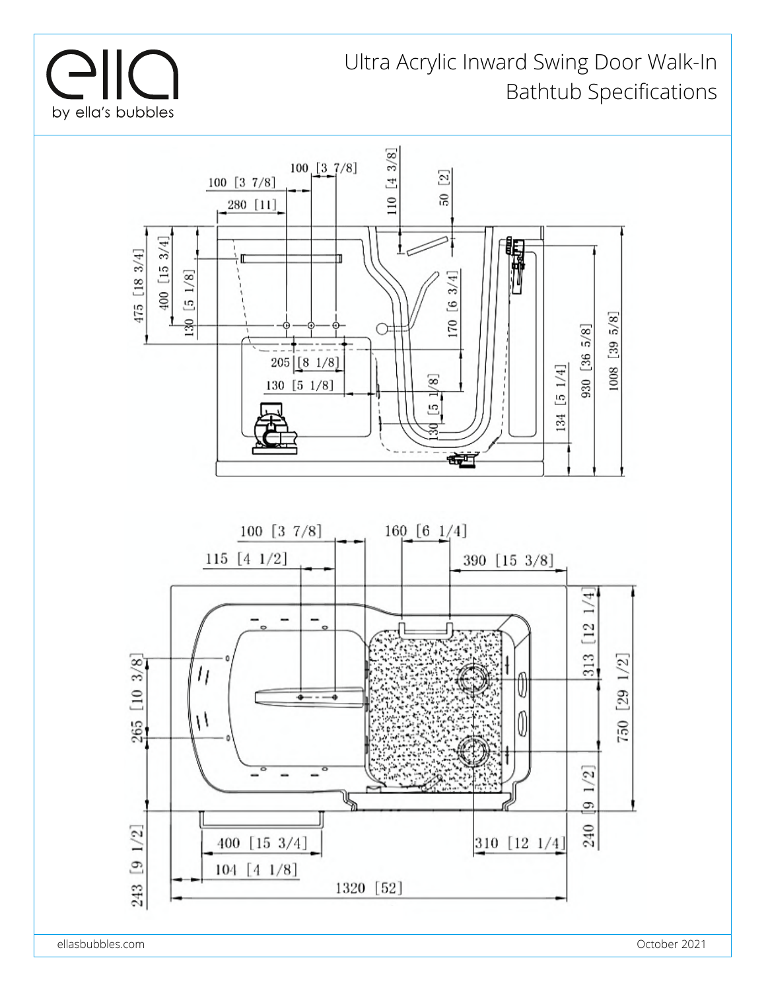

### Ultra Acrylic Inward Swing Door Walk-In Bathtub Specifications



ellasbubbles.com October 2021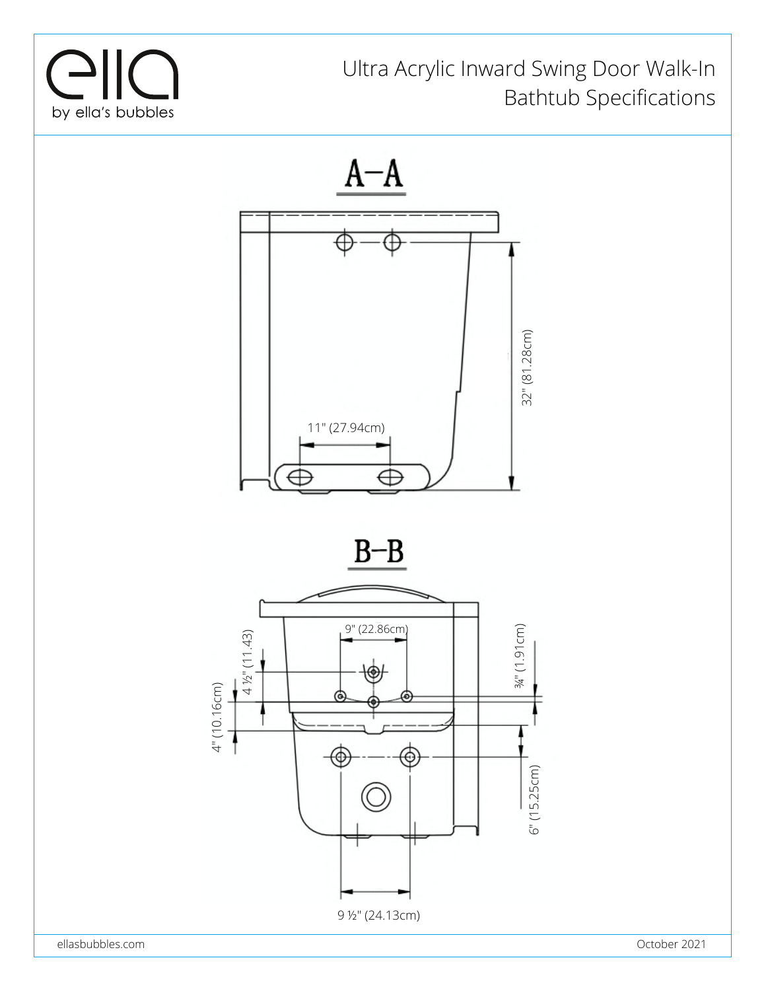

### Ultra Acrylic Inward Swing Door Walk-In Bathtub Specifications

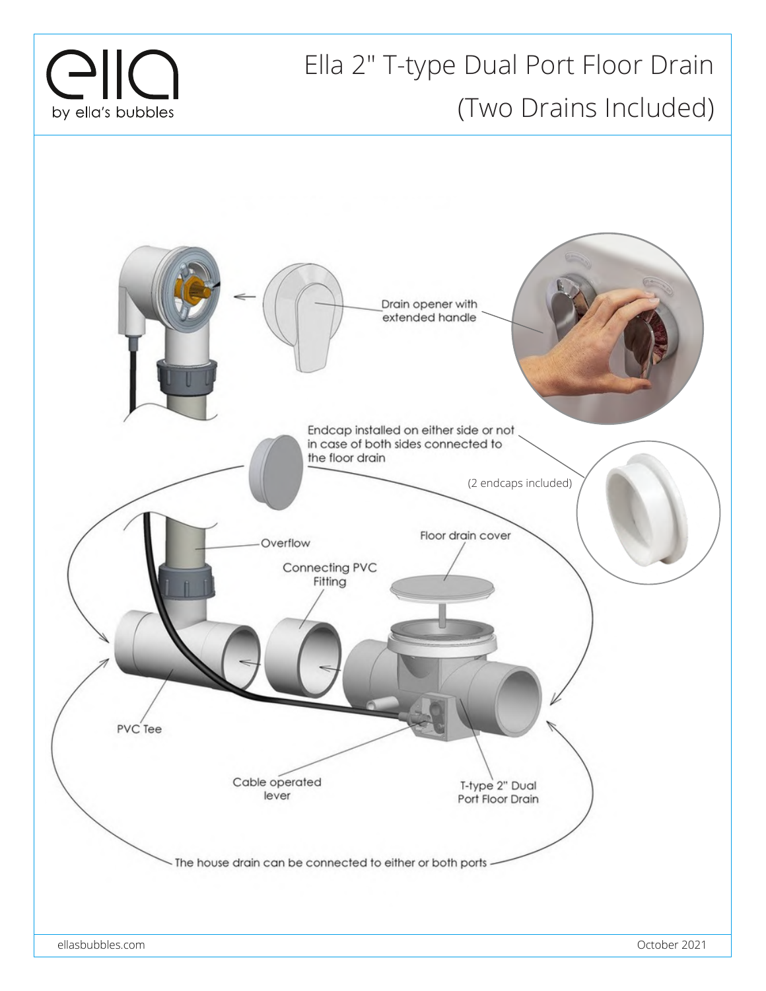

### Ella 2" T-type Dual Port Floor Drain (Two Drains Included)

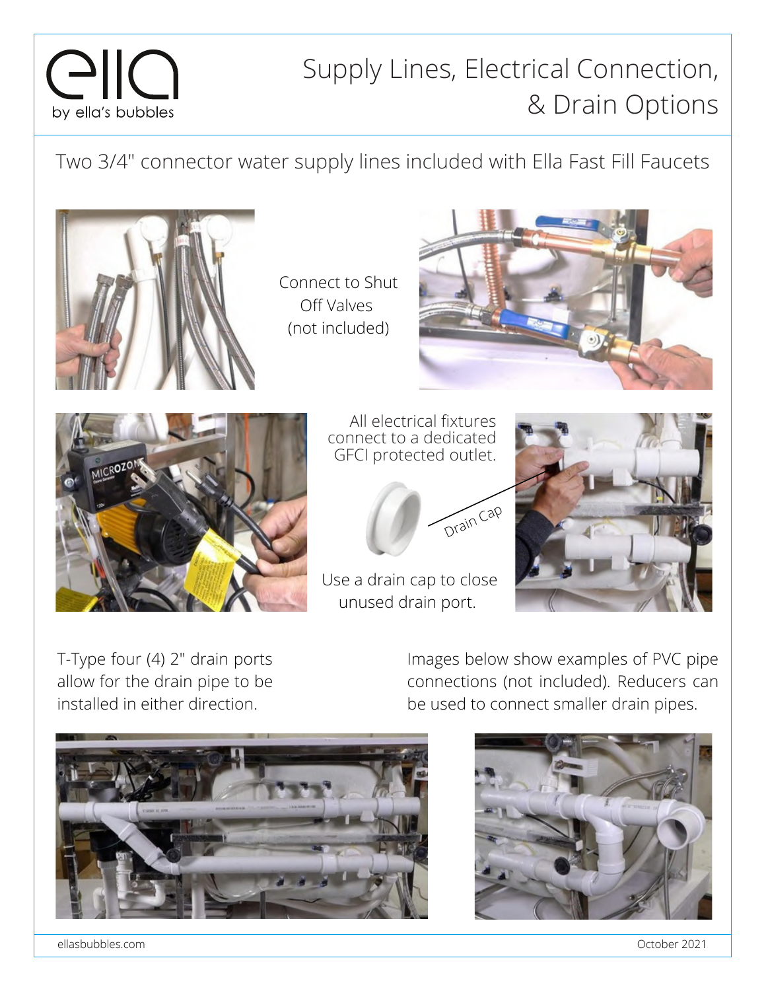## $C<sub>1</sub> < 0$ by ella's bubbles

### Supply Lines, Electrical Connection, & Drain Options

Two 3/4" connector water supply lines included with Ella Fast Fill Faucets



Connect to Shut Off Valves (not included)





All electrical fixtures connect to a dedicated GFCI protected outlet.



Use a drain cap to close unused drain port.



T-Type four (4) 2" drain ports allow for the drain pipe to be installed in either direction.

Images below show examples of PVC pipe connections (not included). Reducers can be used to connect smaller drain pipes.





ellasbubbles.com October 2021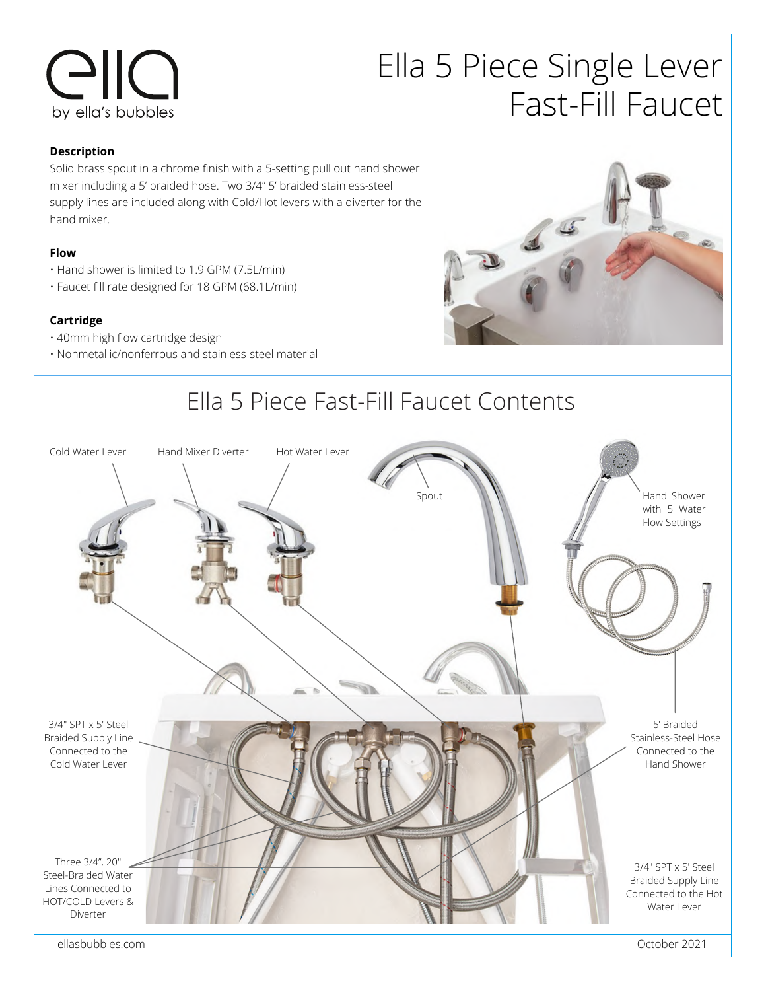## $C<sub>1</sub> < 0$ by ella's bubbles

## Ella 5 Piece Single Lever Fast-Fill Faucet

### **Description**

Solid brass spout in a chrome finish with a 5-setting pull out hand shower mixer including a 5' braided hose. Two 3/4" 5' braided stainless-steel supply lines are included along with Cold/Hot levers with a diverter for the hand mixer.

### **Flow**

- Hand shower is limited to 1.9 GPM (7.5L/min)
- Faucet fill rate designed for 18 GPM (68.1L/min)

### **Cartridge**

- 40mm high flow cartridge design
- Nonmetallic/nonferrous and stainless-steel material





ellasbubbles.com October 2021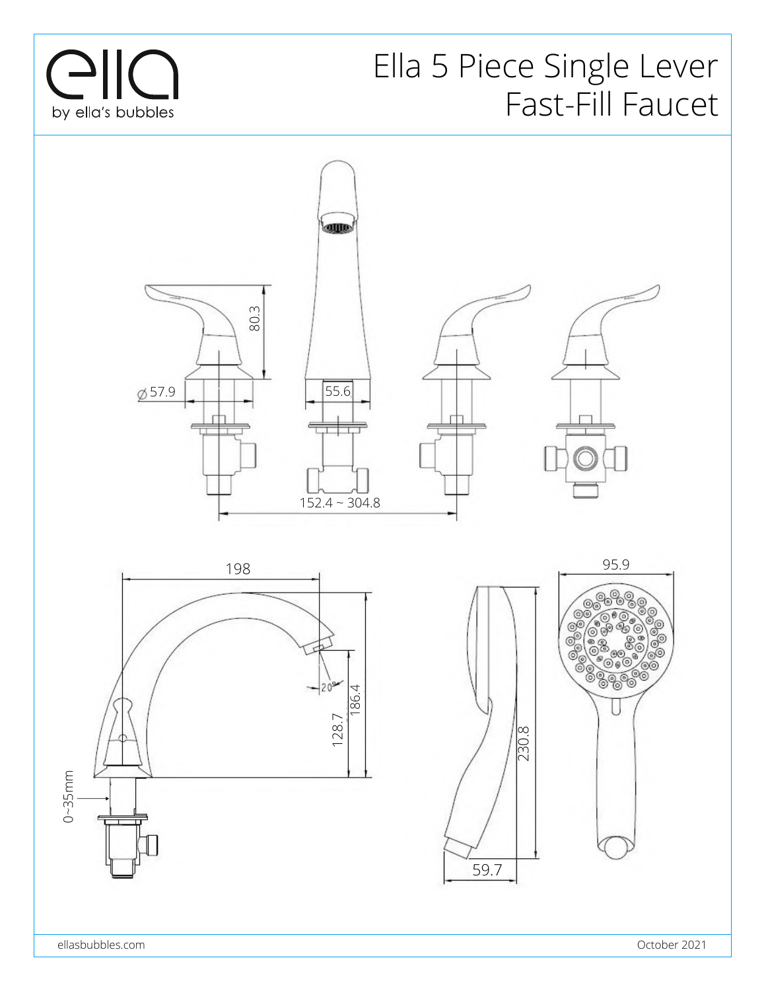

## Ella 5 Piece Single Lever Fast-Fill Faucet